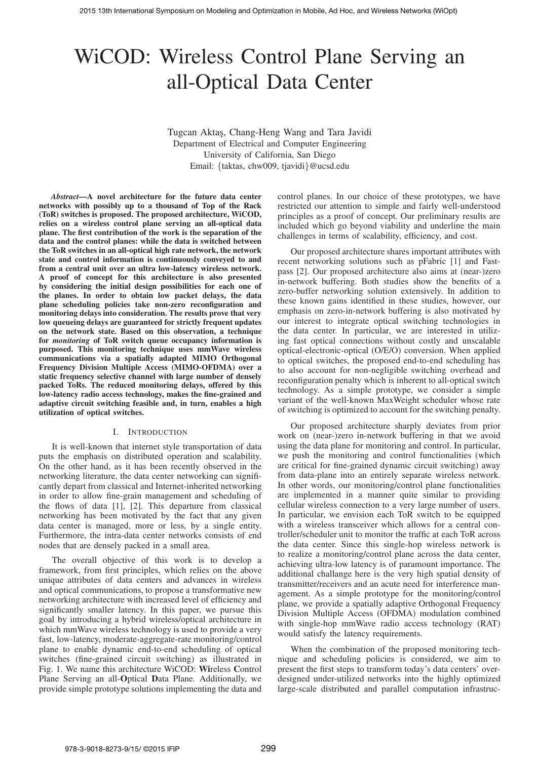# WiCOD: Wireless Control Plane Serving an all-Optical Data Center

Tugcan Aktas¸, Chang-Heng Wang and Tara Javidi Department of Electrical and Computer Engineering University of California, San Diego Email: {taktas, chw009, tjavidi}@ucsd.edu

*Abstract*—A novel architecture for the future data center networks with possibly up to a thousand of Top of the Rack (ToR) switches is proposed. The proposed architecture, WiCOD, relies on a wireless control plane serving an all-optical data plane. The first contribution of the work is the separation of the data and the control planes: while the data is switched between the ToR switches in an all-optical high rate network, the network state and control information is continuously conveyed to and from a central unit over an ultra low-latency wireless network. A proof of concept for this architecture is also presented by considering the initial design possibilities for each one of the planes. In order to obtain low packet delays, the data plane scheduling policies take non-zero reconfiguration and monitoring delays into consideration. The results prove that very low queueing delays are guaranteed for strictly frequent updates on the network state. Based on this observation, a technique for *monitoring* of ToR switch queue occupancy information is purposed. This monitoring technique uses mmWave wireless communications via a spatially adapted MIMO Orthogonal Frequency Division Multiple Access (MIMO-OFDMA) over a static frequency selective channel with large number of densely packed ToRs. The reduced monitoring delays, offered by this low-latency radio access technology, makes the fine-grained and adaptive circuit switching feasible and, in turn, enables a high utilization of optical switches.

## I. INTRODUCTION

It is well-known that internet style transportation of data puts the emphasis on distributed operation and scalability. On the other hand, as it has been recently observed in the networking literature, the data center networking can significantly depart from classical and Internet-inherited networking in order to allow fine-grain management and scheduling of the flows of data [1], [2]. This departure from classical networking has been motivated by the fact that any given data center is managed, more or less, by a single entity. Furthermore, the intra-data center networks consists of end nodes that are densely packed in a small area.

The overall objective of this work is to develop a framework, from first principles, which relies on the above unique attributes of data centers and advances in wireless and optical communications, to propose a transformative new networking architecture with increased level of efficiency and significantly smaller latency. In this paper, we pursue this goal by introducing a hybrid wireless/optical architecture in which mmWave wireless technology is used to provide a very fast, low-latency, moderate-aggregate-rate monitoring/control plane to enable dynamic end-to-end scheduling of optical switches (fine-grained circuit switching) as illustrated in Fig. 1. We name this architecture WiCOD: Wireless Control Plane Serving an all-Optical Data Plane. Additionally, we provide simple prototype solutions implementing the data and

control planes. In our choice of these prototypes, we have restricted our attention to simple and fairly well-understood principles as a proof of concept. Our preliminary results are included which go beyond viability and underline the main challenges in terms of scalability, efficiency, and cost.

Our proposed architecture shares important attributes with recent networking solutions such as pFabric [1] and Fastpass [2]. Our proposed architecture also aims at (near-)zero in-network buffering. Both studies show the benefits of a zero-buffer networking solution extensively. In addition to these known gains identified in these studies, however, our emphasis on zero-in-network buffering is also motivated by our interest to integrate optical switching technologies in the data center. In particular, we are interested in utilizing fast optical connections without costly and unscalable optical-electronic-optical (O/E/O) conversion. When applied to optical switches, the proposed end-to-end scheduling has to also account for non-negligible switching overhead and reconfiguration penalty which is inherent to all-optical switch technology. As a simple prototype, we consider a simple variant of the well-known MaxWeight scheduler whose rate of switching is optimized to account for the switching penalty.

Our proposed architecture sharply deviates from prior work on (near-)zero in-network buffering in that we avoid using the data plane for monitoring and control. In particular, we push the monitoring and control functionalities (which are critical for fine-grained dynamic circuit switching) away from data-plane into an entirely separate wireless network. In other words, our monitoring/control plane functionalities are implemented in a manner quite similar to providing cellular wireless connection to a very large number of users. In particular, we envision each ToR switch to be equipped with a wireless transceiver which allows for a central controller/scheduler unit to monitor the traffic at each ToR across the data center. Since this single-hop wireless network is to realize a monitoring/control plane across the data center, achieving ultra-low latency is of paramount importance. The additional challange here is the very high spatial density of transmitter/receivers and an acute need for interference management. As a simple prototype for the monitoring/control plane, we provide a spatially adaptive Orthogonal Frequency Division Multiple Access (OFDMA) modulation combined with single-hop mmWave radio access technology (RAT) would satisfy the latency requirements.

When the combination of the proposed monitoring technique and scheduling policies is considered, we aim to present the first steps to transform today's data centers' overdesigned under-utilized networks into the highly optimized large-scale distributed and parallel computation infrastruc-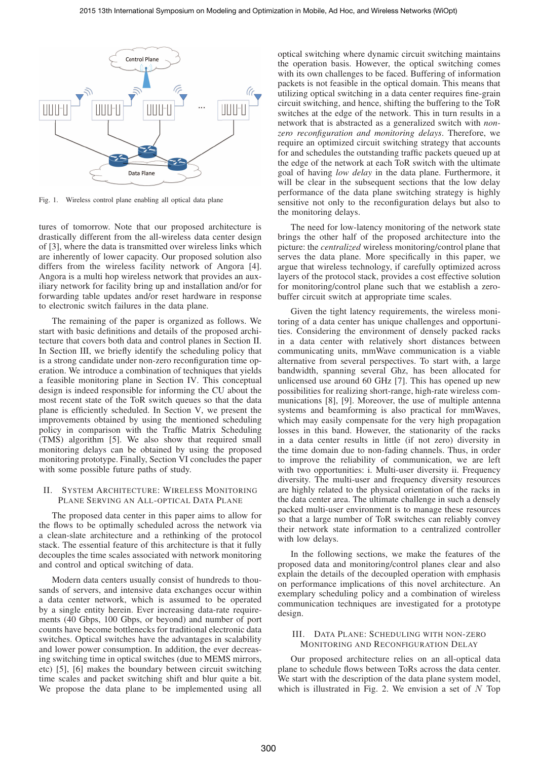

Fig. 1. Wireless control plane enabling all optical data plane

tures of tomorrow. Note that our proposed architecture is drastically different from the all-wireless data center design of [3], where the data is transmitted over wireless links which are inherently of lower capacity. Our proposed solution also differs from the wireless facility network of Angora [4]. Angora is a multi hop wireless network that provides an auxiliary network for facility bring up and installation and/or for forwarding table updates and/or reset hardware in response to electronic switch failures in the data plane.

The remaining of the paper is organized as follows. We start with basic definitions and details of the proposed architecture that covers both data and control planes in Section II. In Section III, we briefly identify the scheduling policy that is a strong candidate under non-zero reconfiguration time operation. We introduce a combination of techniques that yields a feasible monitoring plane in Section IV. This conceptual design is indeed responsible for informing the CU about the most recent state of the ToR switch queues so that the data plane is efficiently scheduled. In Section V, we present the improvements obtained by using the mentioned scheduling policy in comparison with the Traffic Matrix Scheduling (TMS) algorithm [5]. We also show that required small monitoring delays can be obtained by using the proposed monitoring prototype. Finally, Section VI concludes the paper with some possible future paths of study.

## II. SYSTEM ARCHITECTURE: WIRELESS MONITORING PLANE SERVING AN ALL-OPTICAL DATA PLANE

The proposed data center in this paper aims to allow for the flows to be optimally scheduled across the network via a clean-slate architecture and a rethinking of the protocol stack. The essential feature of this architecture is that it fully decouples the time scales associated with network monitoring and control and optical switching of data.

Modern data centers usually consist of hundreds to thousands of servers, and intensive data exchanges occur within a data center network, which is assumed to be operated by a single entity herein. Ever increasing data-rate requirements (40 Gbps, 100 Gbps, or beyond) and number of port counts have become bottlenecks for traditional electronic data switches. Optical switches have the advantages in scalability and lower power consumption. In addition, the ever decreasing switching time in optical switches (due to MEMS mirrors, etc) [5], [6] makes the boundary between circuit switching time scales and packet switching shift and blur quite a bit. We propose the data plane to be implemented using all

optical switching where dynamic circuit switching maintains the operation basis. However, the optical switching comes with its own challenges to be faced. Buffering of information packets is not feasible in the optical domain. This means that utilizing optical switching in a data center requires fine-grain circuit switching, and hence, shifting the buffering to the ToR switches at the edge of the network. This in turn results in a network that is abstracted as a generalized switch with *nonzero reconfiguration and monitoring delays*. Therefore, we require an optimized circuit switching strategy that accounts for and schedules the outstanding traffic packets queued up at the edge of the network at each ToR switch with the ultimate goal of having *low delay* in the data plane. Furthermore, it will be clear in the subsequent sections that the low delay performance of the data plane switching strategy is highly sensitive not only to the reconfiguration delays but also to the monitoring delays.

The need for low-latency monitoring of the network state brings the other half of the proposed architecture into the picture: the *centralized* wireless monitoring/control plane that serves the data plane. More specifically in this paper, we argue that wireless technology, if carefully optimized across layers of the protocol stack, provides a cost effective solution for monitoring/control plane such that we establish a zerobuffer circuit switch at appropriate time scales.

Given the tight latency requirements, the wireless monitoring of a data center has unique challenges and opportunities. Considering the environment of densely packed racks in a data center with relatively short distances between communicating units, mmWave communication is a viable alternative from several perspectives. To start with, a large bandwidth, spanning several Ghz, has been allocated for unlicensed use around 60 GHz [7]. This has opened up new possibilities for realizing short-range, high-rate wireless communications [8], [9]. Moreover, the use of multiple antenna systems and beamforming is also practical for mmWaves, which may easily compensate for the very high propagation losses in this band. However, the stationarity of the racks in a data center results in little (if not zero) diversity in the time domain due to non-fading channels. Thus, in order to improve the reliability of communication, we are left with two opportunities: i. Multi-user diversity ii. Frequency diversity. The multi-user and frequency diversity resources are highly related to the physical orientation of the racks in the data center area. The ultimate challenge in such a densely packed multi-user environment is to manage these resources so that a large number of ToR switches can reliably convey their network state information to a centralized controller with low delays.

In the following sections, we make the features of the proposed data and monitoring/control planes clear and also explain the details of the decoupled operation with emphasis on performance implications of this novel architecture. An exemplary scheduling policy and a combination of wireless communication techniques are investigated for a prototype design.

## III. DATA PLANE: SCHEDULING WITH NON-ZERO MONITORING AND RECONFIGURATION DELAY

Our proposed architecture relies on an all-optical data plane to schedule flows between ToRs across the data center. We start with the description of the data plane system model, which is illustrated in Fig. 2. We envision a set of  $N$  Top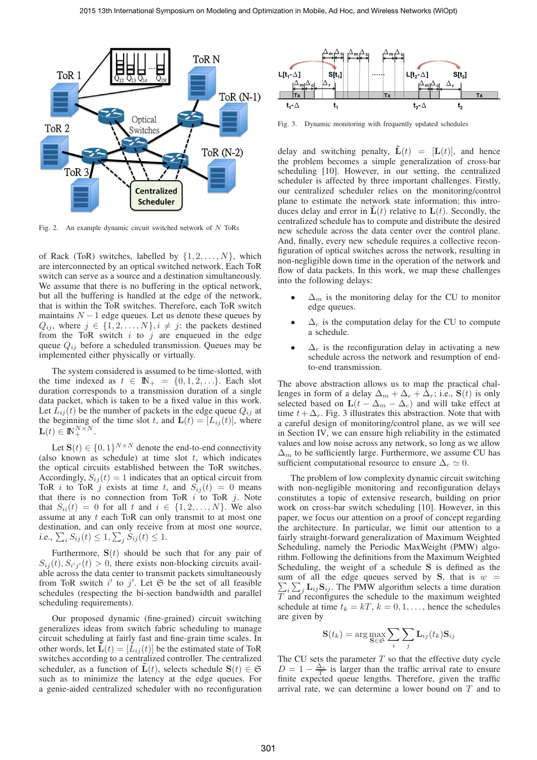

Fig. 2. An example dynamic circuit switched network of N ToRs

of Rack (ToR) switches, labelled by  $\{1, 2, \ldots, N\}$ , which are interconnected by an optical switched network. Each ToR switch can serve as a source and a destination simultaneously. We assume that there is no buffering in the optical network, but all the buffering is handled at the edge of the network, that is within the ToR switches. Therefore, each ToR switch maintains  $N - 1$  edge queues. Let us denote these queues by  $Q_{ij}$ , where  $j \in \{1, 2, \ldots, N\}, i \neq j$ : the packets destined from the ToR switch  $i$  to  $j$  are enqueued in the edge queue  $Q_{ij}$  before a scheduled transmission. Queues may be implemented either physically or virtually.

The system considered is assumed to be time-slotted, with the time indexed as  $t \in \mathbb{N}_+ = \{0, 1, 2, \ldots\}$ . Each slot duration corresponds to a transmission duration of a single data packet, which is taken to be a fixed value in this work. Let  $L_{ij}(t)$  be the number of packets in the edge queue  $Q_{ij}$  at the beginning of the time slot t, and  $\mathbf{L}(t) = [L_{ij}(t)]$ , where  $\mathbf{L}(t) \in \mathbb{N}_+^{N \times N}.$ 

Let  $S(t) \in \{0,1\}^{N \times N}$  denote the end-to-end connectivity (also known as schedule) at time slot  $t$ , which indicates the optical circuits established between the ToR switches. Accordingly,  $S_{ij}(t) = 1$  indicates that an optical circuit from ToR i to ToR j exists at time t, and  $S_{ij}(t) = 0$  means that there is no connection from ToR  $i$  to ToR  $j$ . Note that  $S_{ii}(t) = 0$  for all t and  $i \in \{1, 2, ..., N\}$ . We also assume at any  $t$  each ToR can only transmit to at most one destination, and can only receive from at most one source, i.e.,  $\sum_{i} S_{ij}(t) \leq 1, \sum_{j} S_{ij}(t) \leq 1$ .

Furthermore,  $S(t)$  should be such that for any pair of  $S_{ij}(t)$ ,  $S_{i'j'}(t) > 0$ , there exists non-blocking circuits available across the data center to transmit packets simultaneously from ToR switch i' to j'. Let  $\mathfrak S$  be the set of all feasible schedules (respecting the bi-section bandwidth and parallel scheduling requirements).

Our proposed dynamic (fine-grained) circuit switching generalizes ideas from switch fabric scheduling to manage circuit scheduling at fairly fast and fine-grain time scales. In other words, let  $\tilde{\mathbf{L}}(t) = [\tilde{L}_{ij}(t)]$  be the estimated state of ToR switches according to a centralized controller. The centralized scheduler, as a function of  $\tilde{\bf{L}}(t)$ , selects schedule  ${\bf S}(t) \in \mathfrak{S}$ such as to minimize the latency at the edge queues. For a genie-aided centralized scheduler with no reconfiguration



Fig. 3. Dynamic monitoring with frequently updated schedules

delay and switching penalty,  $\mathbf{L}(t) = [\mathbf{L}(t)],$  and hence the problem becomes a simple generalization of cross-bar scheduling [10]. However, in our setting, the centralized scheduler is affected by three important challenges. Firstly, our centralized scheduler relies on the monitoring/control plane to estimate the network state information; this introduces delay and error in  $\tilde{L}(t)$  relative to  $L(t)$ . Secondly, the centralized schedule has to compute and distribute the desired new schedule across the data center over the control plane. And, finally, every new schedule requires a collective reconfiguration of optical switches across the network, resulting in non-negligible down time in the operation of the network and flow of data packets. In this work, we map these challenges into the following delays:

- $\Delta_m$  is the monitoring delay for the CU to monitor edge queues.
- $\Delta_c$  is the computation delay for the CU to compute a schedule.
- $\Delta_r$  is the reconfiguration delay in activating a new schedule across the network and resumption of endto-end transmission.

The above abstraction allows us to map the practical challenges in form of a delay  $\Delta_m + \Delta_c + \Delta_r$ ; i.e., S(t) is only selected based on  $\mathbf{L}(t - \Delta_m - \Delta_c)$  and will take effect at time  $t + \Delta_r$ . Fig. 3 illustrates this abstraction. Note that with a careful design of monitoring/control plane, as we will see in Section IV, we can ensure high reliability in the estimated values and low noise across any network, so long as we allow  $\Delta_m$  to be sufficiently large. Furthermore, we assume CU has sufficient computational resource to ensure  $\Delta_c \simeq 0$ .

The problem of low complexity dynamic circuit switching with non-negligible monitoring and reconfiguration delays constitutes a topic of extensive research, building on prior work on cross-bar switch scheduling [10]. However, in this paper, we focus our attention on a proof of concept regarding the architecture. In particular, we limit our attention to a fairly straight-forward generalization of Maximum Weighted Scheduling, namely the Periodic MaxWeight (PMW) algorithm. Following the definitions from the Maximum Weighted Scheduling, the weight of a schedule S is defined as the sum of all the edge queues served by S, that is  $w =$  $\sum_i \sum_j \mathbf{L}_{ij} \mathbf{S}_{ij}$ . The PMW algorithm selects a time duration  $T$  and reconfigures the schedule to the maximum weighted schedule at time  $t_k = kT$ ,  $k = 0, 1, \ldots$ , hence the schedules are given by

$$
\mathbf{S}(t_k) = \arg \max_{\mathbf{S} \in \mathfrak{S}} \sum_i \sum_j \mathbf{L}_{ij}(t_k) \mathbf{S}_{ij}
$$

The CU sets the parameter  $T$  so that the effective duty cycle  $D=1-\frac{\Delta_r}{T}$  $\frac{\Delta_r}{T}$  is larger than the traffic arrival rate to ensure finite expected queue lengths. Therefore, given the traffic arrival rate, we can determine a lower bound on  $T$  and to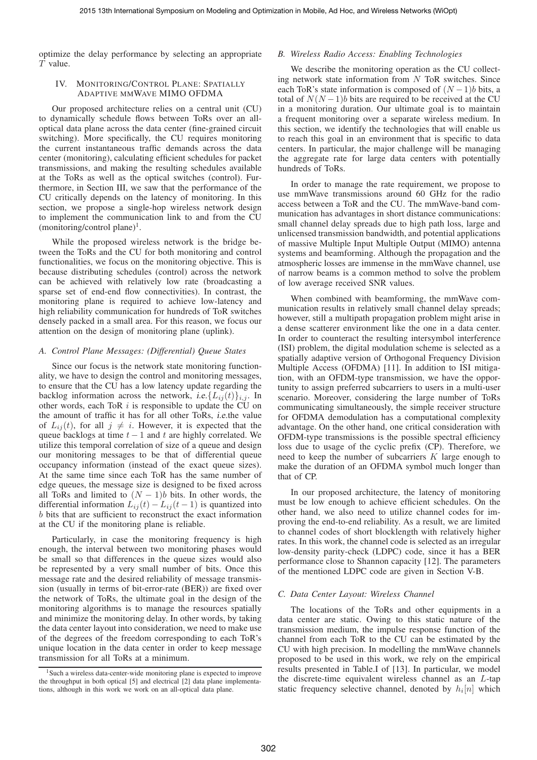optimize the delay performance by selecting an appropriate  $T$  value.

# IV. MONITORING/CONTROL PLANE: SPATIALLY ADAPTIVE MMWAVE MIMO OFDMA

Our proposed architecture relies on a central unit (CU) to dynamically schedule flows between ToRs over an alloptical data plane across the data center (fine-grained circuit switching). More specifically, the CU requires monitoring the current instantaneous traffic demands across the data center (monitoring), calculating efficient schedules for packet transmissions, and making the resulting schedules available at the ToRs as well as the optical switches (control). Furthermore, in Section III, we saw that the performance of the CU critically depends on the latency of monitoring. In this section, we propose a single-hop wireless network design to implement the communication link to and from the CU (monitoring/control plane) 1 .

While the proposed wireless network is the bridge between the ToRs and the CU for both monitoring and control functionalities, we focus on the monitoring objective. This is because distributing schedules (control) across the network can be achieved with relatively low rate (broadcasting a sparse set of end-end flow connectivities). In contrast, the monitoring plane is required to achieve low-latency and high reliability communication for hundreds of ToR switches densely packed in a small area. For this reason, we focus our attention on the design of monitoring plane (uplink).

## *A. Control Plane Messages: (Differential) Queue States*

Since our focus is the network state monitoring functionality, we have to design the control and monitoring messages, to ensure that the CU has a low latency update regarding the backlog information across the network, i.e.  ${L_{ij}(t)}_{i,j}$ . In other words, each ToR  $i$  is responsible to update the CU on the amount of traffic it has for all other ToRs, i.e.the value of  $L_{ii}(t)$ , for all  $j \neq i$ . However, it is expected that the queue backlogs at time  $t - 1$  and t are highly correlated. We utilize this temporal correlation of size of a queue and design our monitoring messages to be that of differential queue occupancy information (instead of the exact queue sizes). At the same time since each ToR has the same number of edge queues, the message size is designed to be fixed across all ToRs and limited to  $(N - 1)b$  bits. In other words, the differential information  $L_{ij}(t) - L_{ij}(t-1)$  is quantized into b bits that are sufficient to reconstruct the exact information at the CU if the monitoring plane is reliable.

Particularly, in case the monitoring frequency is high enough, the interval between two monitoring phases would be small so that differences in the queue sizes would also be represented by a very small number of bits. Once this message rate and the desired reliability of message transmission (usually in terms of bit-error-rate (BER)) are fixed over the network of ToRs, the ultimate goal in the design of the monitoring algorithms is to manage the resources spatially and minimize the monitoring delay. In other words, by taking the data center layout into consideration, we need to make use of the degrees of the freedom corresponding to each ToR's unique location in the data center in order to keep message transmission for all ToRs at a minimum.

# *B. Wireless Radio Access: Enabling Technologies*

We describe the monitoring operation as the CU collecting network state information from  $N$  ToR switches. Since each ToR's state information is composed of  $(N-1)b$  bits, a total of  $N(N-1)b$  bits are required to be received at the CU in a monitoring duration. Our ultimate goal is to maintain a frequent monitoring over a separate wireless medium. In this section, we identify the technologies that will enable us to reach this goal in an environment that is specific to data centers. In particular, the major challenge will be managing the aggregate rate for large data centers with potentially hundreds of ToRs.

In order to manage the rate requirement, we propose to use mmWave transmissions around 60 GHz for the radio access between a ToR and the CU. The mmWave-band communication has advantages in short distance communications: small channel delay spreads due to high path loss, large and unlicensed transmission bandwidth, and potential applications of massive Multiple Input Multiple Output (MIMO) antenna systems and beamforming. Although the propagation and the atmospheric losses are immense in the mmWave channel, use of narrow beams is a common method to solve the problem of low average received SNR values.

When combined with beamforming, the mmWave communication results in relatively small channel delay spreads; however, still a multipath propagation problem might arise in a dense scatterer environment like the one in a data center. In order to counteract the resulting intersymbol interference (ISI) problem, the digital modulation scheme is selected as a spatially adaptive version of Orthogonal Frequency Division Multiple Access (OFDMA) [11]. In addition to ISI mitigation, with an OFDM-type transmission, we have the opportunity to assign preferred subcarriers to users in a multi-user scenario. Moreover, considering the large number of ToRs communicating simultaneously, the simple receiver structure for OFDMA demodulation has a computational complexity advantage. On the other hand, one critical consideration with OFDM-type transmissions is the possible spectral efficiency loss due to usage of the cyclic prefix (CP). Therefore, we need to keep the number of subcarriers  $K$  large enough to make the duration of an OFDMA symbol much longer than that of CP.

In our proposed architecture, the latency of monitoring must be low enough to achieve efficient schedules. On the other hand, we also need to utilize channel codes for improving the end-to-end reliability. As a result, we are limited to channel codes of short blocklength with relatively higher rates. In this work, the channel code is selected as an irregular low-density parity-check (LDPC) code, since it has a BER performance close to Shannon capacity [12]. The parameters of the mentioned LDPC code are given in Section V-B.

## *C. Data Center Layout: Wireless Channel*

The locations of the ToRs and other equipments in a data center are static. Owing to this static nature of the transmission medium, the impulse response function of the channel from each ToR to the CU can be estimated by the CU with high precision. In modelling the mmWave channels proposed to be used in this work, we rely on the empirical results presented in Table.I of [13]. In particular, we model the discrete-time equivalent wireless channel as an L-tap static frequency selective channel, denoted by  $h_i[n]$  which

<sup>&</sup>lt;sup>1</sup>Such a wireless data-center-wide monitoring plane is expected to improve the throughput in both optical [5] and electrical [2] data plane implementations, although in this work we work on an all-optical data plane.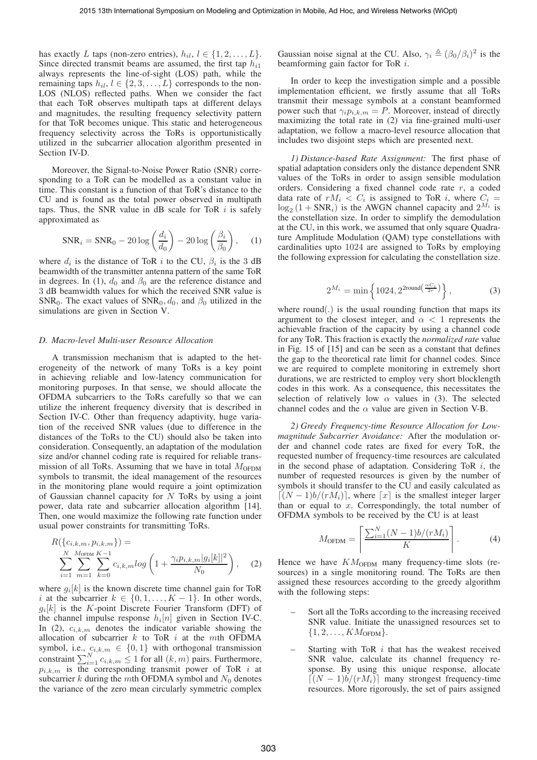has exactly L taps (non-zero entries),  $h_{il}$ ,  $l \in \{1, 2, ..., L\}$ . Since directed transmit beams are assumed, the first tap  $h_{i1}$ always represents the line-of-sight (LOS) path, while the remaining taps  $h_{il}$ ,  $l \in \{2, 3, ..., L\}$  corresponds to the non-LOS (NLOS) reflected paths. When we consider the fact that each ToR observes multipath taps at different delays and magnitudes, the resulting frequency selectivity pattern for that ToR becomes unique. This static and heterogeneous frequency selectivity across the ToRs is opportunistically utilized in the subcarrier allocation algorithm presented in Section IV-D.

Moreover, the Signal-to-Noise Power Ratio (SNR) corresponding to a ToR can be modelled as a constant value in time. This constant is a function of that ToR's distance to the CU and is found as the total power observed in multipath taps. Thus, the SNR value in dB scale for ToR  $i$  is safely approximated as

$$
SNR_i = SNR_0 - 20 \log \left(\frac{d_i}{d_0}\right) - 20 \log \left(\frac{\beta_i}{\beta_0}\right), \quad (1)
$$

where  $d_i$  is the distance of ToR i to the CU,  $\beta_i$  is the 3 dB beamwidth of the transmitter antenna pattern of the same ToR in degrees. In (1),  $d_0$  and  $\beta_0$  are the reference distance and 3 dB beamwidth values for which the received SNR value is SNR<sub>0</sub>. The exact values of SNR<sub>0</sub>,  $d_0$ , and  $\beta_0$  utilized in the simulations are given in Section V.

# *D. Macro-level Multi-user Resource Allocation*

A transmission mechanism that is adapted to the heterogeneity of the network of many ToRs is a key point in achieving reliable and low-latency communication for monitoring purposes. In that sense, we should allocate the OFDMA subcarriers to the ToRs carefully so that we can utilize the inherent frequency diversity that is described in Section IV-C. Other than frequency adaptivity, huge variation of the received SNR values (due to difference in the distances of the ToRs to the CU) should also be taken into consideration. Consequently, an adaptation of the modulation size and/or channel coding rate is required for reliable transmission of all ToRs. Assuming that we have in total  $M_{\text{OFDM}}$ symbols to transmit, the ideal management of the resources in the monitoring plane would require a joint optimization of Gaussian channel capacity for  $N$  ToRs by using a joint power, data rate and subcarrier allocation algorithm [14]. Then, one would maximize the following rate function under usual power constraints for transmitting ToRs.

$$
R({c_{i,k,m}, p_{i,k,m}}) = \sum_{i=1}^{N} \sum_{m=1}^{M_{\text{OFDM}} K - 1} c_{i,k,m} log\left(1 + \frac{\gamma_i p_{i,k,m} |g_i[k]|^2}{N_0}\right),
$$
 (2)

where  $g_i[k]$  is the known discrete time channel gain for ToR i at the subcarrier  $k \in \{0, 1, \ldots, K - 1\}$ . In other words,  $g_i[k]$  is the K-point Discrete Fourier Transform (DFT) of the channel impulse response  $h_i[n]$  given in Section IV-C. In (2),  $c_{i,k,m}$  denotes the indicator variable showing the allocation of subcarrier  $k$  to ToR  $i$  at the mth OFDMA symbol, i.e.,  $c_{i,k,m} \in \{0,1\}$  with orthogonal transmission constraint  $\sum_{i=1}^{N} c_{i,k,m} \leq 1$  for all  $(k,m)$  pairs. Furthermore,  $p_{i,k,m}$  is the corresponding transmit power of ToR i at subcarrier k during the mth OFDMA symbol and  $N_0$  denotes the variance of the zero mean circularly symmetric complex

Gaussian noise signal at the CU. Also,  $\gamma_i \triangleq (\beta_0/\beta_i)^2$  is the beamforming gain factor for ToR i.

In order to keep the investigation simple and a possible implementation efficient, we firstly assume that all ToRs transmit their message symbols at a constant beamformed power such that  $\gamma_i p_{i,k,m} = P$ . Moreover, instead of directly maximizing the total rate in (2) via fine-grained multi-user adaptation, we follow a macro-level resource allocation that includes two disjoint steps which are presented next.

*1) Distance-based Rate Assignment:* The first phase of spatial adaptation considers only the distance dependent SNR values of the ToRs in order to assign sensible modulation orders. Considering a fixed channel code rate r, a coded data rate of  $rM_i < C_i$  is assigned to ToR i, where  $C_i =$  $log_2(1 + SNR_i)$  is the AWGN channel capacity and  $2^{M_i}$  is the constellation size. In order to simplify the demodulation at the CU, in this work, we assumed that only square Quadrature Amplitude Modulation (QAM) type constellations with cardinalities upto 1024 are assigned to ToRs by employing the following expression for calculating the constellation size.

$$
2^{M_i} = \min\left\{1024, 2^{2\text{round}\left(\frac{\alpha C_i}{2r}\right)}\right\},\tag{3}
$$

where round(.) is the usual rounding function that maps its argument to the closest integer, and  $\alpha < 1$  represents the achievable fraction of the capacity by using a channel code for any ToR. This fraction is exactly the *normalized rate* value in Fig. 15 of [15] and can be seen as a constant that defines the gap to the theoretical rate limit for channel codes. Since we are required to complete monitoring in extremely short durations, we are restricted to employ very short blocklength codes in this work. As a consequence, this necessitates the selection of relatively low  $\alpha$  values in (3). The selected channel codes and the  $\alpha$  value are given in Section V-B.

*2) Greedy Frequency-time Resource Allocation for Lowmagnitude Subcarrier Avoidance:* After the modulation order and channel code rates are fixed for every ToR, the requested number of frequency-time resources are calculated in the second phase of adaptation. Considering ToR  $i$ , the number of requested resources is given by the number of symbols it should transfer to the CU and easily calculated as  $\left[(N-1)b/(rM_i)\right]$ , where  $\left[x\right]$  is the smallest integer larger than or equal to  $x$ . Correspondingly, the total number of OFDMA symbols to be received by the CU is at least

$$
M_{\text{OFDM}} = \left\lceil \frac{\sum_{i=1}^{N} (N-1)b/(rM_i)}{K} \right\rceil. \tag{4}
$$

Hence we have  $KM<sub>OFDM</sub>$  many frequency-time slots (resources) in a single monitoring round. The ToRs are then assigned these resources according to the greedy algorithm with the following steps:

- Sort all the ToRs according to the increasing received SNR value. Initiate the unassigned resources set to  $\{1, 2, \ldots, KM_{\text{OFDM}}\}.$
- Starting with ToR  $i$  that has the weakest received SNR value, calculate its channel frequency response. By using this unique response, allocate  $\left\lceil (N-1)b/(rM_i) \right\rceil$  many strongest frequency-time resources. More rigorously, the set of pairs assigned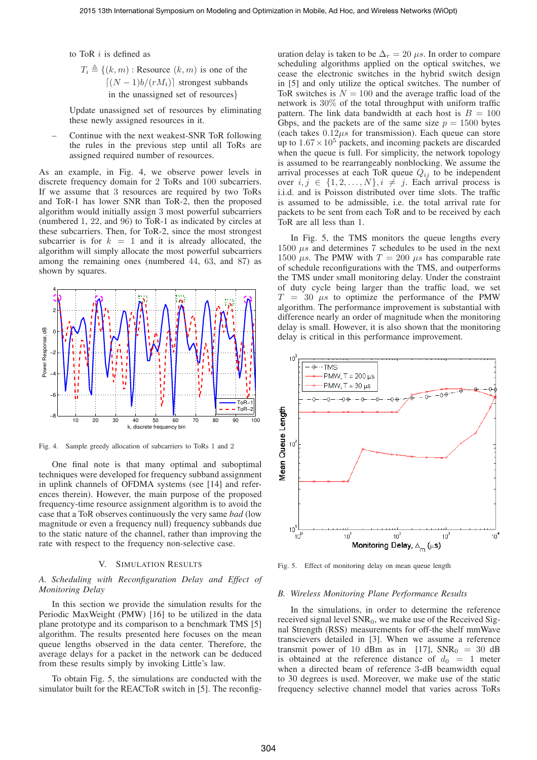to ToR  $i$  is defined as

 $T_i \triangleq \{(k, m) :$  Resource  $(k, m)$  is one of the  $[(N-1)b/(rM_i)]$  strongest subbands in the unassigned set of resources}

Update unassigned set of resources by eliminating these newly assigned resources in it.

– Continue with the next weakest-SNR ToR following the rules in the previous step until all ToRs are assigned required number of resources.

As an example, in Fig. 4, we observe power levels in discrete frequency domain for 2 ToRs and 100 subcarriers. If we assume that 3 resources are required by two ToRs and ToR-1 has lower SNR than ToR-2, then the proposed algorithm would initially assign 3 most powerful subcarriers (numbered 1, 22, and 96) to ToR-1 as indicated by circles at these subcarriers. Then, for ToR-2, since the most strongest subcarrier is for  $k = 1$  and it is already allocated, the algorithm will simply allocate the most powerful subcarriers among the remaining ones (numbered 44, 63, and 87) as shown by squares.



Fig. 4. Sample greedy allocation of subcarriers to ToRs 1 and 2

One final note is that many optimal and suboptimal techniques were developed for frequency subband assignment in uplink channels of OFDMA systems (see [14] and references therein). However, the main purpose of the proposed frequency-time resource assignment algorithm is to avoid the case that a ToR observes continuously the very same *bad* (low magnitude or even a frequency null) frequency subbands due to the static nature of the channel, rather than improving the rate with respect to the frequency non-selective case.

#### V. SIMULATION RESULTS

## *A. Scheduling with Reconfiguration Delay and Effect of Monitoring Delay*

In this section we provide the simulation results for the Periodic MaxWeight (PMW) [16] to be utilized in the data plane prototype and its comparison to a benchmark TMS [5] algorithm. The results presented here focuses on the mean queue lengths observed in the data center. Therefore, the average delays for a packet in the network can be deduced from these results simply by invoking Little's law.

To obtain Fig. 5, the simulations are conducted with the simulator built for the REACToR switch in [5]. The reconfiguration delay is taken to be  $\Delta_r = 20 \,\mu s$ . In order to compare scheduling algorithms applied on the optical switches, we cease the electronic switches in the hybrid switch design in [5] and only utilize the optical switches. The number of ToR switches is  $N = 100$  and the average traffic load of the network is 30% of the total throughput with uniform traffic pattern. The link data bandwidth at each host is  $B = 100$ Gbps, and the packets are of the same size  $p = 1500$  bytes (each takes  $0.12\mu s$  for transmission). Each queue can store up to  $1.67 \times 10^5$  packets, and incoming packets are discarded when the queue is full. For simplicity, the network topology is assumed to be rearrangeably nonblocking. We assume the arrival processes at each ToR queue  $Q_{ij}$  to be independent over  $i, j \in \{1, 2, ..., N\}, i \neq j$ . Each arrival process is i.i.d. and is Poisson distributed over time slots. The traffic is assumed to be admissible, i.e. the total arrival rate for packets to be sent from each ToR and to be received by each ToR are all less than 1.

In Fig. 5, the TMS monitors the queue lengths every  $1500 \mu s$  and determines 7 schedules to be used in the next 1500  $\mu$ s. The PMW with  $T = 200 \mu s$  has comparable rate of schedule reconfigurations with the TMS, and outperforms the TMS under small monitoring delay. Under the constraint of duty cycle being larger than the traffic load, we set  $T = 30 \mu s$  to optimize the performance of the PMW algorithm. The performance improvement is substantial with difference nearly an order of magnitude when the monitoring delay is small. However, it is also shown that the monitoring delay is critical in this performance improvement.



Fig. 5. Effect of monitoring delay on mean queue length

## *B. Wireless Monitoring Plane Performance Results*

In the simulations, in order to determine the reference received signal level  $SNR<sub>0</sub>$ , we make use of the Received Signal Strength (RSS) measurements for off-the shelf mmWave transcievers detailed in [3]. When we assume a reference transmit power of 10 dBm as in [17],  $SNR_0 = 30$  dB is obtained at the reference distance of  $d_0 = 1$  meter when a directed beam of reference 3-dB beamwidth equal to 30 degrees is used. Moreover, we make use of the static frequency selective channel model that varies across ToRs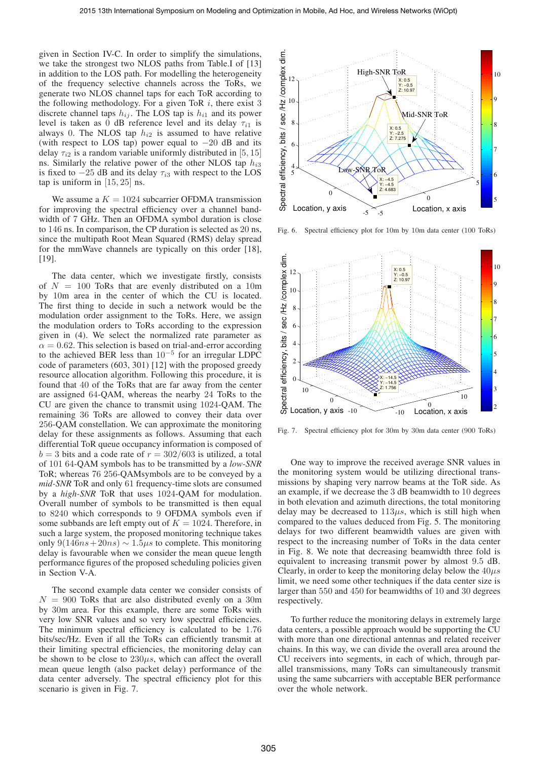given in Section IV-C. In order to simplify the simulations, we take the strongest two NLOS paths from Table.I of [13] in addition to the LOS path. For modelling the heterogeneity of the frequency selective channels across the ToRs, we generate two NLOS channel taps for each ToR according to the following methodology. For a given ToR  $i$ , there exist 3 discrete channel taps  $h_{ij}$ . The LOS tap is  $h_{i1}$  and its power level is taken as 0 dB reference level and its delay  $\tau_{i1}$  is always 0. The NLOS tap  $h_{i2}$  is assumed to have relative (with respect to LOS tap) power equal to  $-20$  dB and its delay  $\tau_{i2}$  is a random variable uniformly distributed in [5, 15] ns. Similarly the relative power of the other NLOS tap  $h_{i3}$ is fixed to  $-25$  dB and its delay  $\tau_{i3}$  with respect to the LOS tap is uniform in  $[15, 25]$  ns.

We assume a  $K = 1024$  subcarrier OFDMA transmission for improving the spectral efficiency over a channel bandwidth of 7 GHz. Then an OFDMA symbol duration is close to 146 ns. In comparison, the CP duration is selected as 20 ns, since the multipath Root Mean Squared (RMS) delay spread for the mmWave channels are typically on this order [18], [19].

The data center, which we investigate firstly, consists of  $N = 100$  ToRs that are evenly distributed on a 10m by 10m area in the center of which the CU is located. The first thing to decide in such a network would be the modulation order assignment to the ToRs. Here, we assign the modulation orders to ToRs according to the expression given in (4). We select the normalized rate parameter as  $\alpha = 0.62$ . This selection is based on trial-and-error according to the achieved BER less than  $10^{-5}$  for an irregular LDPC code of parameters (603, 301) [12] with the proposed greedy resource allocation algorithm. Following this procedure, it is found that 40 of the ToRs that are far away from the center are assigned 64-QAM, whereas the nearby 24 ToRs to the CU are given the chance to transmit using 1024-QAM. The remaining 36 ToRs are allowed to convey their data over 256-QAM constellation. We can approximate the monitoring delay for these assignments as follows. Assuming that each differential ToR queue occupancy information is composed of  $b = 3$  bits and a code rate of  $r = 302/603$  is utilized, a total of 101 64-QAM symbols has to be transmitted by a *low-SNR* ToR; whereas 76 256-QAMsymbols are to be conveyed by a *mid-SNR* ToR and only 61 frequency-time slots are consumed by a *high-SNR* ToR that uses 1024-QAM for modulation. Overall number of symbols to be transmitted is then equal to 8240 which corresponds to 9 OFDMA symbols even if some subbands are left empty out of  $K = 1024$ . Therefore, in such a large system, the proposed monitoring technique takes only  $9(146ns+20ns)$  ∼ 1.5 $\mu$ s to complete. This monitoring delay is favourable when we consider the mean queue length performance figures of the proposed scheduling policies given in Section V-A.

The second example data center we consider consists of  $N = 900$  ToRs that are also distributed evenly on a 30m by 30m area. For this example, there are some ToRs with very low SNR values and so very low spectral efficiencies. The minimum spectral efficiency is calculated to be 1.76 bits/sec/Hz. Even if all the ToRs can efficiently transmit at their limiting spectral efficiencies, the monitoring delay can be shown to be close to  $230\mu s$ , which can affect the overall mean queue length (also packet delay) performance of the data center adversely. The spectral efficiency plot for this scenario is given in Fig. 7.



Fig. 6. Spectral efficiency plot for 10m by 10m data center (100 ToRs)



Fig. 7. Spectral efficiency plot for 30m by 30m data center (900 ToRs)

One way to improve the received average SNR values in the monitoring system would be utilizing directional transmissions by shaping very narrow beams at the ToR side. As an example, if we decrease the 3 dB beamwidth to 10 degrees in both elevation and azimuth directions, the total monitoring delay may be decreased to  $113\mu s$ , which is still high when compared to the values deduced from Fig. 5. The monitoring delays for two different beamwidth values are given with respect to the increasing number of ToRs in the data center in Fig. 8. We note that decreasing beamwidth three fold is equivalent to increasing transmit power by almost 9.5 dB. Clearly, in order to keep the monitoring delay below the  $40\mu s$ limit, we need some other techniques if the data center size is larger than 550 and 450 for beamwidths of 10 and 30 degrees respectively.

To further reduce the monitoring delays in extremely large data centers, a possible approach would be supporting the CU with more than one directional antennas and related receiver chains. In this way, we can divide the overall area around the CU receivers into segments, in each of which, through parallel transmissions, many ToRs can simultaneously transmit using the same subcarriers with acceptable BER performance over the whole network.